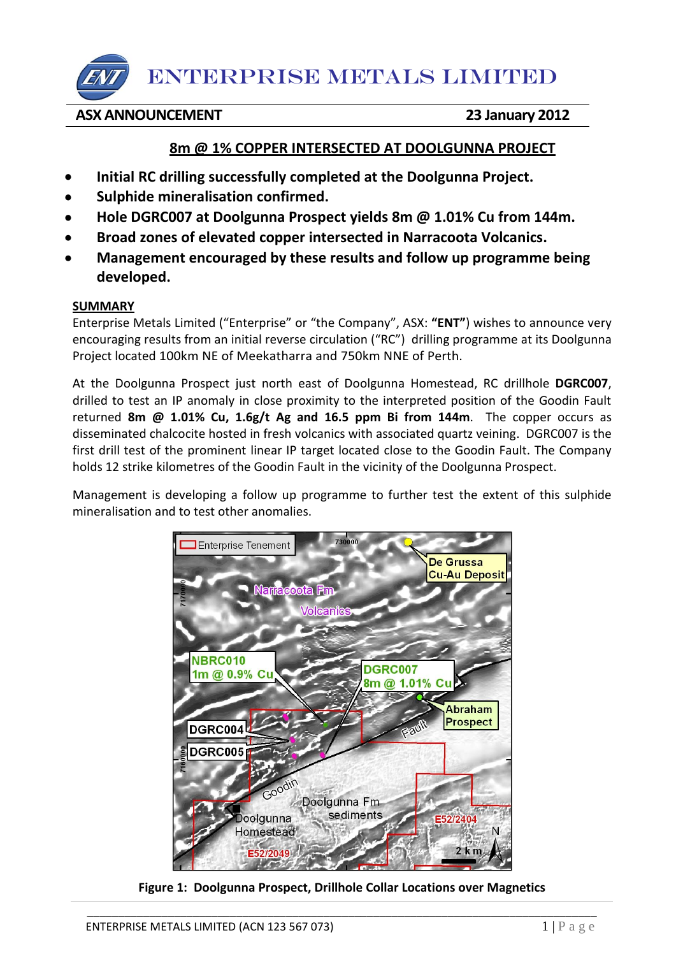## **ASX ANNOUNCEMENT 23 January 2012**

## **8m @ 1% COPPER INTERSECTED AT DOOLGUNNA PROJECT**

- **Initial RC drilling successfully completed at the Doolgunna Project.**
- **Sulphide mineralisation confirmed.**
- **Hole DGRC007 at Doolgunna Prospect yields 8m @ 1.01% Cu from 144m.**
- **Broad zones of elevated copper intersected in Narracoota Volcanics.**
- **Management encouraged by these results and follow up programme being developed.**

## **SUMMARY**

Enterprise Metals Limited ("Enterprise" or "the Company", ASX: **"ENT"**) wishes to announce very encouraging results from an initial reverse circulation ("RC") drilling programme at its Doolgunna Project located 100km NE of Meekatharra and 750km NNE of Perth.

At the Doolgunna Prospect just north east of Doolgunna Homestead, RC drillhole **DGRC007**, drilled to test an IP anomaly in close proximity to the interpreted position of the Goodin Fault returned **8m @ 1.01% Cu, 1.6g/t Ag and 16.5 ppm Bi from 144m**. The copper occurs as disseminated chalcocite hosted in fresh volcanics with associated quartz veining. DGRC007 is the first drill test of the prominent linear IP target located close to the Goodin Fault. The Company holds 12 strike kilometres of the Goodin Fault in the vicinity of the Doolgunna Prospect.

Management is developing a follow up programme to further test the extent of this sulphide mineralisation and to test other anomalies.



**Figure 1: Doolgunna Prospect, Drillhole Collar Locations over Magnetics**

\_\_\_\_\_\_\_\_\_\_\_\_\_\_\_\_\_\_\_\_\_\_\_\_\_\_\_\_\_\_\_\_\_\_\_\_\_\_\_\_\_\_\_\_\_\_\_\_\_\_\_\_\_\_\_\_\_\_\_\_\_\_\_\_\_\_\_\_\_\_\_\_\_\_\_\_\_\_\_\_\_\_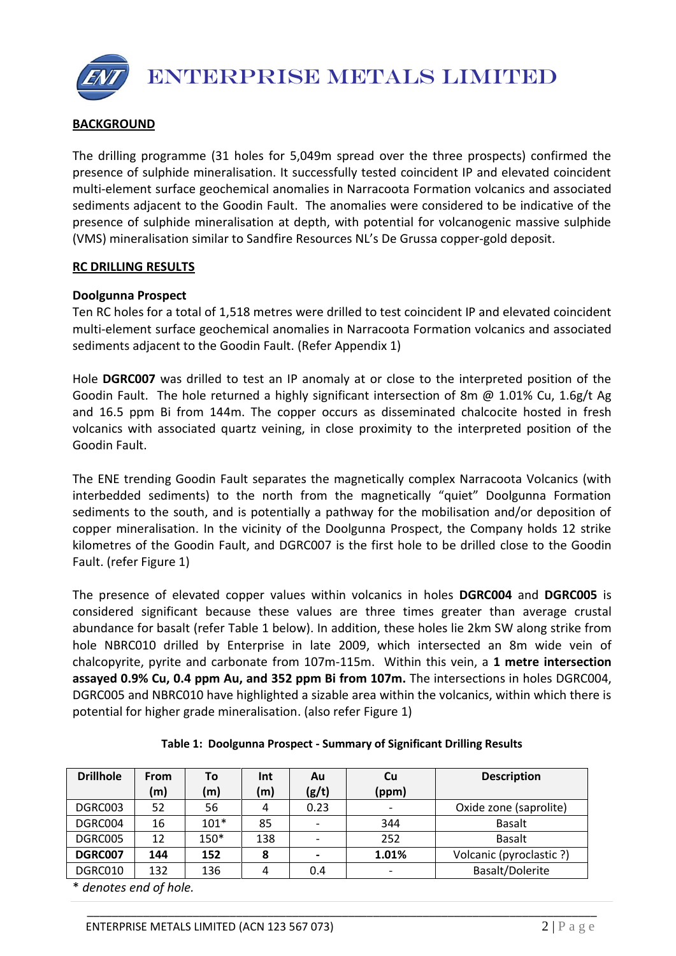## **BACKGROUND**

The drilling programme (31 holes for 5,049m spread over the three prospects) confirmed the presence of sulphide mineralisation. It successfully tested coincident IP and elevated coincident multi-element surface geochemical anomalies in Narracoota Formation volcanics and associated sediments adjacent to the Goodin Fault. The anomalies were considered to be indicative of the presence of sulphide mineralisation at depth, with potential for volcanogenic massive sulphide (VMS) mineralisation similar to Sandfire Resources NL's De Grussa copper-gold deposit.

#### **RC DRILLING RESULTS**

#### **Doolgunna Prospect**

Ten RC holes for a total of 1,518 metres were drilled to test coincident IP and elevated coincident multi-element surface geochemical anomalies in Narracoota Formation volcanics and associated sediments adjacent to the Goodin Fault. (Refer Appendix 1)

Hole **DGRC007** was drilled to test an IP anomaly at or close to the interpreted position of the Goodin Fault. The hole returned a highly significant intersection of 8m @ 1.01% Cu, 1.6g/t Ag and 16.5 ppm Bi from 144m. The copper occurs as disseminated chalcocite hosted in fresh volcanics with associated quartz veining, in close proximity to the interpreted position of the Goodin Fault.

The ENE trending Goodin Fault separates the magnetically complex Narracoota Volcanics (with interbedded sediments) to the north from the magnetically "quiet" Doolgunna Formation sediments to the south, and is potentially a pathway for the mobilisation and/or deposition of copper mineralisation. In the vicinity of the Doolgunna Prospect, the Company holds 12 strike kilometres of the Goodin Fault, and DGRC007 is the first hole to be drilled close to the Goodin Fault. (refer Figure 1)

The presence of elevated copper values within volcanics in holes **DGRC004** and **DGRC005** is considered significant because these values are three times greater than average crustal abundance for basalt (refer Table 1 below). In addition, these holes lie 2km SW along strike from hole NBRC010 drilled by Enterprise in late 2009, which intersected an 8m wide vein of chalcopyrite, pyrite and carbonate from 107m-115m. Within this vein, a **1 metre intersection assayed 0.9% Cu, 0.4 ppm Au, and 352 ppm Bi from 107m.** The intersections in holes DGRC004, DGRC005 and NBRC010 have highlighted a sizable area within the volcanics, within which there is potential for higher grade mineralisation. (also refer Figure 1)

| <b>Drillhole</b> | From | To     | Int | Au    | Cu                       | <b>Description</b>       |  |
|------------------|------|--------|-----|-------|--------------------------|--------------------------|--|
|                  | (m)  | (m)    | (m) | (g/t) | (ppm)                    |                          |  |
| DGRC003          | 52   | 56     | 4   | 0.23  | $\overline{\phantom{a}}$ | Oxide zone (saprolite)   |  |
| DGRC004          | 16   | $101*$ | 85  |       | 344                      | <b>Basalt</b>            |  |
| DGRC005          | 12   | 150*   | 138 |       | 252                      | <b>Basalt</b>            |  |
| DGRC007          | 144  | 152    | 8   |       | 1.01%                    | Volcanic (pyroclastic ?) |  |
| DGRC010          | 132  | 136    | 4   | 0.4   | $\overline{\phantom{a}}$ | Basalt/Dolerite          |  |

\_\_\_\_\_\_\_\_\_\_\_\_\_\_\_\_\_\_\_\_\_\_\_\_\_\_\_\_\_\_\_\_\_\_\_\_\_\_\_\_\_\_\_\_\_\_\_\_\_\_\_\_\_\_\_\_\_\_\_\_\_\_\_\_\_\_\_\_\_\_\_\_\_\_\_\_\_\_\_\_\_\_

**Table 1: Doolgunna Prospect - Summary of Significant Drilling Results**

\* *denotes end of hole.*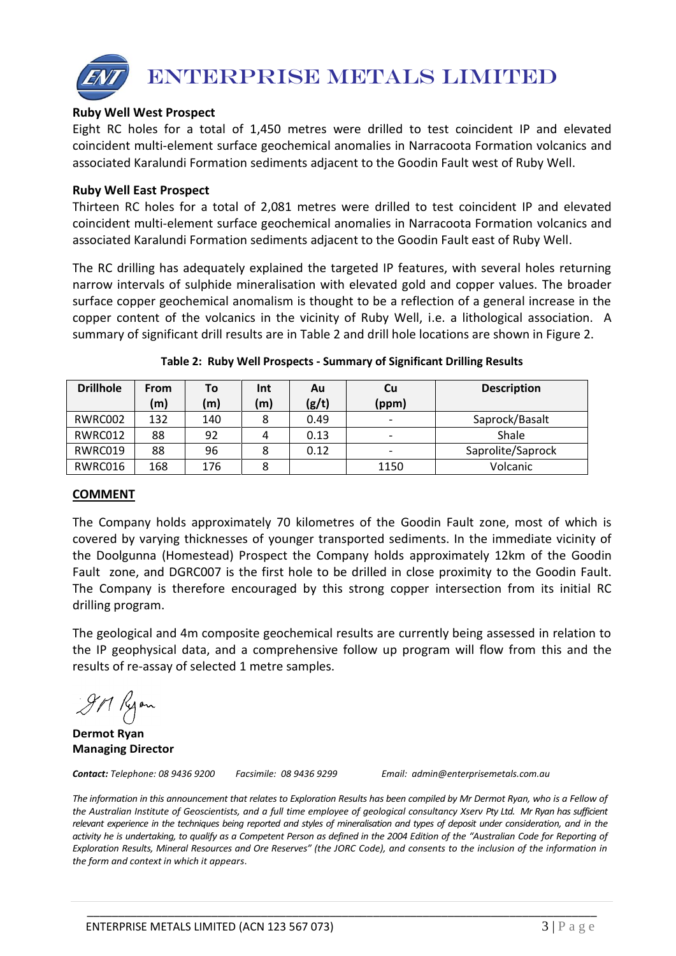

## **Ruby Well West Prospect**

Eight RC holes for a total of 1,450 metres were drilled to test coincident IP and elevated coincident multi-element surface geochemical anomalies in Narracoota Formation volcanics and associated Karalundi Formation sediments adjacent to the Goodin Fault west of Ruby Well.

#### **Ruby Well East Prospect**

Thirteen RC holes for a total of 2,081 metres were drilled to test coincident IP and elevated coincident multi-element surface geochemical anomalies in Narracoota Formation volcanics and associated Karalundi Formation sediments adjacent to the Goodin Fault east of Ruby Well.

The RC drilling has adequately explained the targeted IP features, with several holes returning narrow intervals of sulphide mineralisation with elevated gold and copper values. The broader surface copper geochemical anomalism is thought to be a reflection of a general increase in the copper content of the volcanics in the vicinity of Ruby Well, i.e. a lithological association. A summary of significant drill results are in Table 2 and drill hole locations are shown in Figure 2.

| <b>Drillhole</b> | From | То  | Int | Au    | Cu    | <b>Description</b> |  |
|------------------|------|-----|-----|-------|-------|--------------------|--|
|                  | (m)  | (m) | (m) | (g/t) | (ppm) |                    |  |
| RWRC002          | 132  | 140 | 8   | 0.49  | -     | Saprock/Basalt     |  |
| RWRC012          | 88   | 92  | 4   | 0.13  | -     | Shale              |  |
| RWRC019          | 88   | 96  | 8   | 0.12  | -     | Saprolite/Saprock  |  |
| RWRC016          | 168  | 176 | 8   |       | 1150  | Volcanic           |  |

#### **Table 2: Ruby Well Prospects - Summary of Significant Drilling Results**

#### **COMMENT**

The Company holds approximately 70 kilometres of the Goodin Fault zone, most of which is covered by varying thicknesses of younger transported sediments. In the immediate vicinity of the Doolgunna (Homestead) Prospect the Company holds approximately 12km of the Goodin Fault zone, and DGRC007 is the first hole to be drilled in close proximity to the Goodin Fault. The Company is therefore encouraged by this strong copper intersection from its initial RC drilling program.

The geological and 4m composite geochemical results are currently being assessed in relation to the IP geophysical data, and a comprehensive follow up program will flow from this and the results of re-assay of selected 1 metre samples.

gn Ryon

**Dermot Ryan Managing Director**

*Contact: Telephone: 08 9436 9200 Facsimile: 08 9436 9299 Email: admin@enterprisemetals.com.au*

The information in this announcement that relates to Exploration Results has been compiled by Mr Dermot Ryan, who is a Fellow of *the Australian Institute of Geoscientists, and a full time employee of geological consultancy Xserv Pty Ltd. Mr Ryan has sufficient relevant experience in the techniques being reported and styles of mineralisation and types of deposit under consideration, and in the*  activity he is undertaking, to qualify as a Competent Person as defined in the 2004 Edition of the "Australian Code for Reporting of *Exploration Results, Mineral Resources and Ore Reserves" (the JORC Code), and consents to the inclusion of the information in the form and context in which it appears*.

\_\_\_\_\_\_\_\_\_\_\_\_\_\_\_\_\_\_\_\_\_\_\_\_\_\_\_\_\_\_\_\_\_\_\_\_\_\_\_\_\_\_\_\_\_\_\_\_\_\_\_\_\_\_\_\_\_\_\_\_\_\_\_\_\_\_\_\_\_\_\_\_\_\_\_\_\_\_\_\_\_\_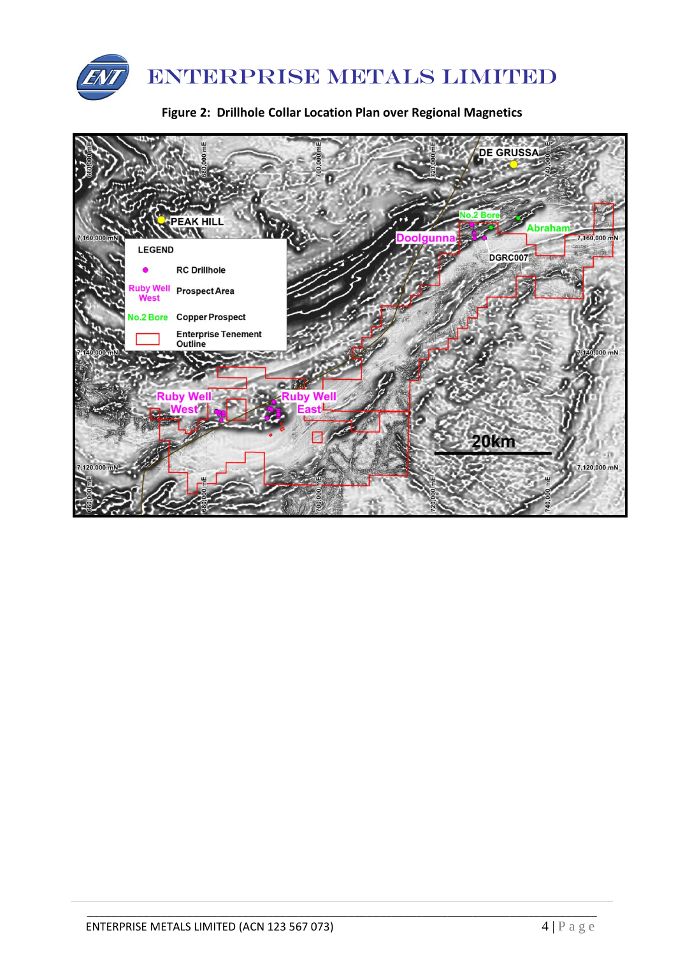

**Figure 2: Drillhole Collar Location Plan over Regional Magnetics**